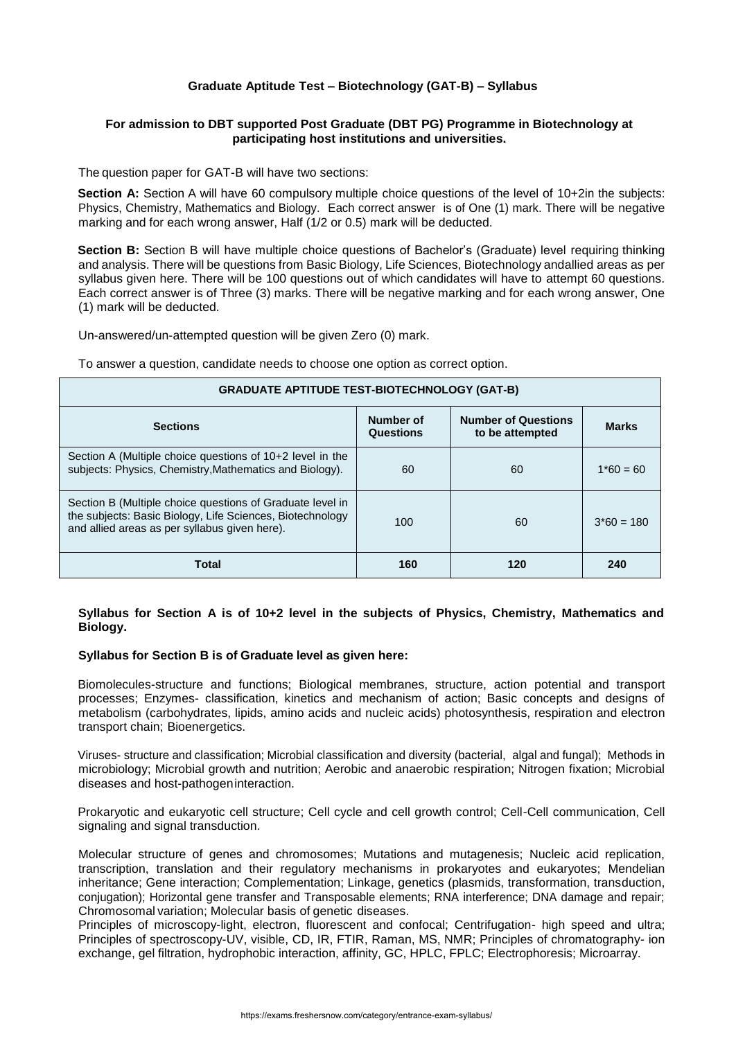## **Graduate Aptitude Test – Biotechnology (GAT-B) – Syllabus**

## **For admission to DBT supported Post Graduate (DBT PG) Programme in Biotechnology at participating host institutions and universities.**

The question paper for GAT-B will have two sections:

**Section A:** Section A will have 60 compulsory multiple choice questions of the level of 10+2in the subjects: Physics, Chemistry, Mathematics and Biology. Each correct answer is of One (1) mark. There will be negative marking and for each wrong answer, Half (1/2 or 0.5) mark will be deducted.

**Section B:** Section B will have multiple choice questions of Bachelor's (Graduate) level requiring thinking and analysis. There will be questions from Basic Biology, Life Sciences, Biotechnology andallied areas as per syllabus given here. There will be 100 questions out of which candidates will have to attempt 60 questions. Each correct answer is of Three (3) marks. There will be negative marking and for each wrong answer, One (1) mark will be deducted.

Un-answered/un-attempted question will be given Zero (0) mark.

To answer a question, candidate needs to choose one option as correct option.

| <b>GRADUATE APTITUDE TEST-BIOTECHNOLOGY (GAT-B)</b>                                                                                                                     |                        |                                               |              |
|-------------------------------------------------------------------------------------------------------------------------------------------------------------------------|------------------------|-----------------------------------------------|--------------|
| <b>Sections</b>                                                                                                                                                         | Number of<br>Questions | <b>Number of Questions</b><br>to be attempted | <b>Marks</b> |
| Section A (Multiple choice questions of 10+2 level in the<br>subjects: Physics, Chemistry, Mathematics and Biology).                                                    | 60                     | 60                                            | $1*60 = 60$  |
| Section B (Multiple choice questions of Graduate level in<br>the subjects: Basic Biology, Life Sciences, Biotechnology<br>and allied areas as per syllabus given here). | 100                    | 60                                            | $3*60 = 180$ |
| <b>Total</b>                                                                                                                                                            | 160                    | 120                                           | 240          |

## **Syllabus for Section A is of 10+2 level in the subjects of Physics, Chemistry, Mathematics and Biology.**

## **Syllabus for Section B is of Graduate level as given here:**

Biomolecules-structure and functions; Biological membranes, structure, action potential and transport processes; Enzymes- classification, kinetics and mechanism of action; Basic concepts and designs of metabolism (carbohydrates, lipids, amino acids and nucleic acids) photosynthesis, respiration and electron transport chain; Bioenergetics.

Viruses- structure and classification; Microbial classification and diversity (bacterial, algal and fungal); Methods in microbiology; Microbial growth and nutrition; Aerobic and anaerobic respiration; Nitrogen fixation; Microbial diseases and host-pathogeninteraction.

Prokaryotic and eukaryotic cell structure; Cell cycle and cell growth control; Cell-Cell communication, Cell signaling and signal transduction.

Molecular structure of genes and chromosomes; Mutations and mutagenesis; Nucleic acid replication, transcription, translation and their regulatory mechanisms in prokaryotes and eukaryotes; Mendelian inheritance; Gene interaction; Complementation; Linkage, genetics (plasmids, transformation, transduction, conjugation); Horizontal gene transfer and Transposable elements; RNA interference; DNA damage and repair; Chromosomal variation; Molecular basis of genetic diseases.

Principles of microscopy-light, electron, fluorescent and confocal; Centrifugation- high speed and ultra; Principles of spectroscopy-UV, visible, CD, IR, FTIR, Raman, MS, NMR; Principles of chromatography- ion exchange, gel filtration, hydrophobic interaction, affinity, GC, HPLC, FPLC; Electrophoresis; Microarray.